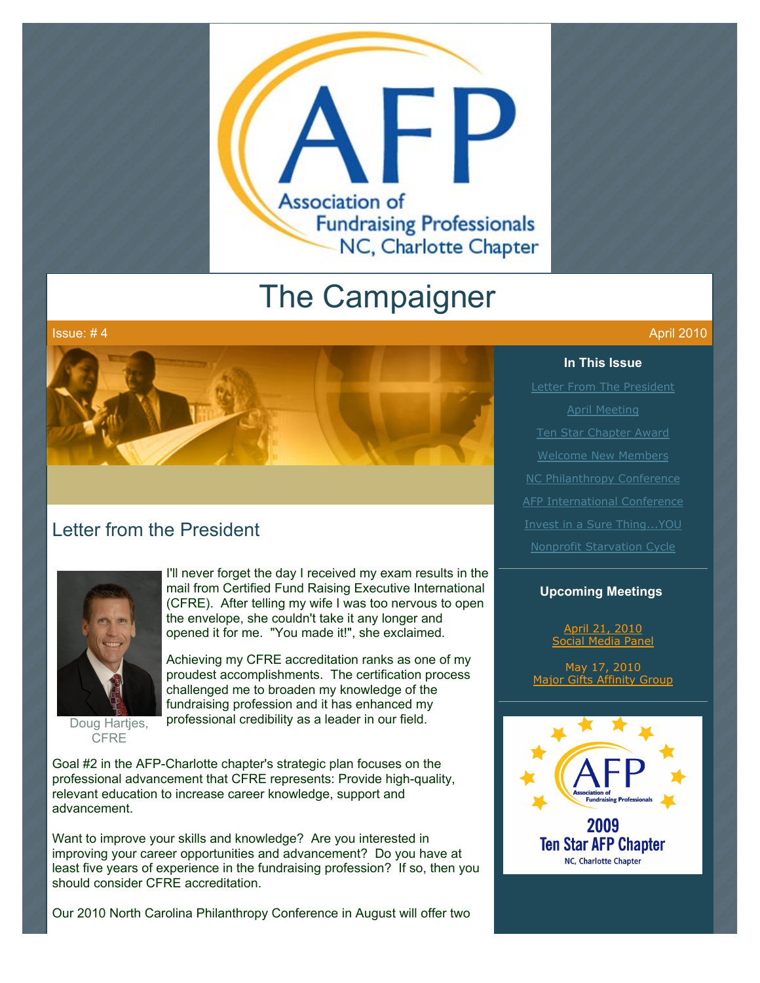

# The Campaigner



# Letter from the President



**CFRE** 

I'll never forget the day I received my exam results in the mail from Certified Fund Raising Executive International (CFRE). After telling my wife I was too nervous to open the envelope, she couldn't take it any longer and opened it for me. "You made it!", she exclaimed.

Achieving my CFRE accreditation ranks as one of my proudest accomplishments. The certification process challenged me to broaden my knowledge of the fundraising profession and it has enhanced my professional credibility as a leader in our field.

Goal #2 in the AFP-Charlotte chapter's strategic plan focuses on the professional advancement that CFRE represents: Provide high-quality, relevant education to increase career knowledge, support and advancement.

Want to improve your skills and knowledge? Are you interested in improving your career opportunities and advancement? Do you have at least five years of experience in the fundraising profession? If so, then you should consider CFRE accreditation.

Our 2010 North Carolina Philanthropy Conference in August will offer two

#### **In This Issue**

[Letter From The President](http://archive.constantcontact.com/fs051/1101610725496/archive/1103137121953.html#LETTER.BLOCK6) [April Meeting](http://archive.constantcontact.com/fs051/1101610725496/archive/1103137121953.html#LETTER.BLOCK8) [Ten Star Chapter Award](http://archive.constantcontact.com/fs051/1101610725496/archive/1103137121953.html#LETTER.BLOCK12) [Welcome New Members](http://archive.constantcontact.com/fs051/1101610725496/archive/1103137121953.html#LETTER.BLOCK14) **[AFP International Conference](http://archive.constantcontact.com/fs051/1101610725496/archive/1103137121953.html#LETTER.BLOCK18)** [Invest in a Sure Thing...YOU](http://archive.constantcontact.com/fs051/1101610725496/archive/1103137121953.html#LETTER.BLOCK22) [Nonprofit Starvation Cycle](http://archive.constantcontact.com/fs051/1101610725496/archive/1103137121953.html#LETTER.BLOCK20)

#### **Upcoming Meetings**

April 21, 2010 al Media Pa

May 17, 2010 [Major Gifts Affinity Group](http://www.afp-charlotte.org/rsvp_details.html?id=2771)

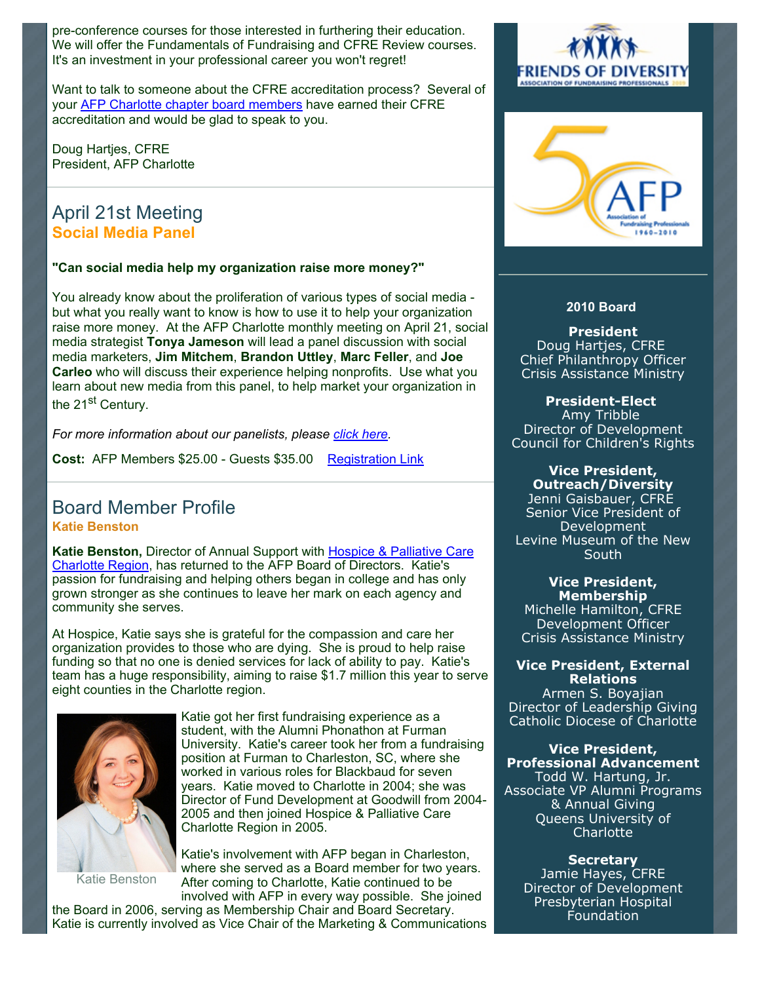pre-conference courses for those interested in furthering their education. We will offer the Fundamentals of Fundraising and CFRE Review courses. It's an investment in your professional career you won't regret!

Want to talk to someone about the CFRE accreditation process? Several of your [AFP Charlotte chapter board members](http://www.afp-charlotte.org/aboutus2010.html) have earned their CFRE accreditation and would be glad to speak to you.

Doug Hartjes, CFRE President, AFP Charlotte

# April 21st Meeting **Social Media Panel**

#### **"Can social media help my organization raise more money?"**

You already know about the proliferation of various types of social media but what you really want to know is how to use it to help your organization raise more money. At the AFP Charlotte monthly meeting on April 21, social media strategist **Tonya Jameson** will lead a panel discussion with social media marketers, **Jim Mitchem**, **Brandon Uttley**, **Marc Feller**, and **Joe Carleo** who will discuss their experience helping nonprofits. Use what you learn about new media from this panel, to help market your organization in the 21<sup>st</sup> Century.

*For more information about our panelists, please [click here.](http://www.afp-charlotte.org/rsvp_details.html?id=2813)* 

**Cost:** AFP Members \$25.00 - Guests \$35.00 [Registration Link](http://www.afp-charlotte.org/rsvp_details.html?id=2813)

## Board Member Profile **Katie Benston**

Katie Benston, Director of Annual Support with **Hospice & Palliative Care** [Charlotte Region, has returned to the AFP Board of Directors. Katie's](http://www.hpccr.org/) passion for fundraising and helping others began in college and has only grown stronger as she continues to leave her mark on each agency and community she serves.

At Hospice, Katie says she is grateful for the compassion and care her organization provides to those who are dying. She is proud to help raise funding so that no one is denied services for lack of ability to pay. Katie's team has a huge responsibility, aiming to raise \$1.7 million this year to serve eight counties in the Charlotte region.



Katie got her first fundraising experience as a student, with the Alumni Phonathon at Furman University. Katie's career took her from a fundraising position at Furman to Charleston, SC, where she worked in various roles for Blackbaud for seven years. Katie moved to Charlotte in 2004; she was Director of Fund Development at Goodwill from 2004- 2005 and then joined Hospice & Palliative Care Charlotte Region in 2005.

Katie Benston

Katie's involvement with AFP began in Charleston, where she served as a Board member for two years. After coming to Charlotte, Katie continued to be involved with AFP in every way possible. She joined

the Board in 2006, serving as Membership Chair and Board Secretary. Katie is currently involved as Vice Chair of the Marketing & Communications





#### **2010 Board**

**President** Doug Hartjes, CFRE Chief Philanthropy Officer Crisis Assistance Ministry

#### **President-Elect**

Amy Tribble Director of Development Council for Children's Rights

#### **Vice President, Outreach/Diversity**

Jenni Gaisbauer, CFRE Senior Vice President of Development Levine Museum of the New South

**Vice President, Membership** Michelle Hamilton, CFRE Development Officer Crisis Assistance Ministry

#### **Vice President, External Relations**

Armen S. Boyajian Director of Leadership Giving Catholic Diocese of Charlotte

#### **Vice President, Professional Advancement**

Todd W. Hartung, Jr. Associate VP Alumni Programs & Annual Giving Queens University of **Charlotte** 

**Secretary** Jamie Hayes, CFRE Director of Development Presbyterian Hospital Foundation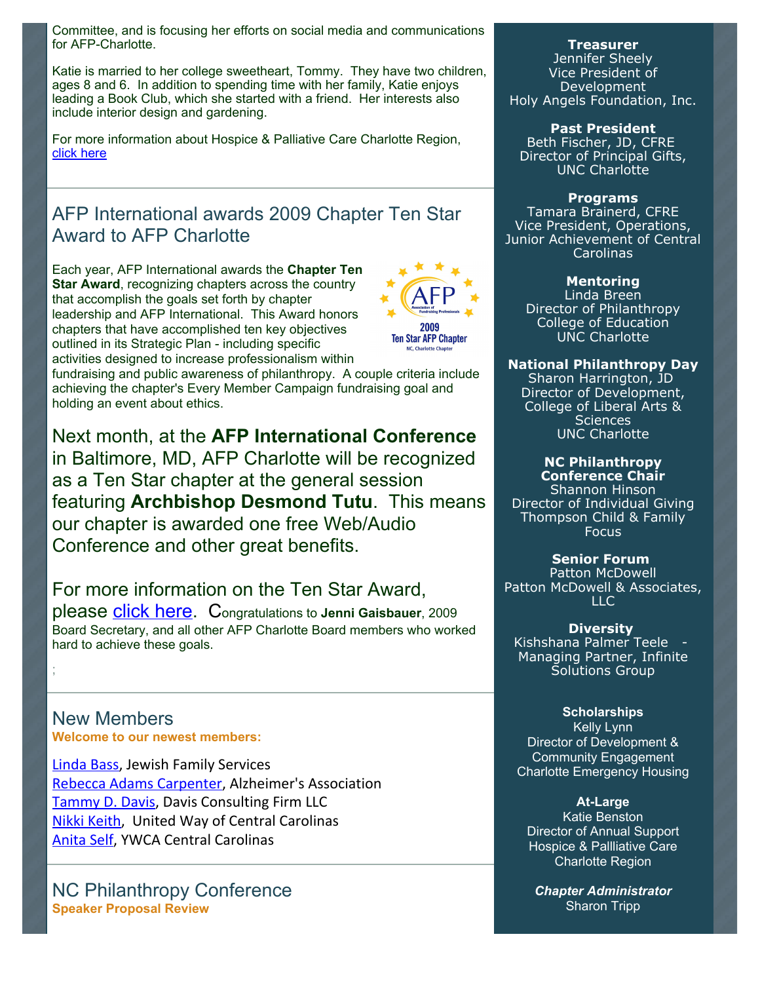Committee, and is focusing her efforts on social media and communications for AFP-Charlotte.

Katie is married to her college sweetheart, Tommy. They have two children, ages 8 and 6. In addition to spending time with her family, Katie enjoys leading a Book Club, which she started with a friend. Her interests also include interior design and gardening.

For more information about Hospice & Palliative Care Charlotte Region, [click here](http://www.hpccr.org/)

# AFP International awards 2009 Chapter Ten Star Award to AFP Charlotte

Each year, AFP International awards the **Chapter Ten Star Award**, recognizing chapters across the country that accomplish the goals set forth by chapter leadership and AFP International. This Award honors chapters that have accomplished ten key objectives outlined in its Strategic Plan - including specific activities designed to increase professionalism within



fundraising and public awareness of philanthropy. A couple criteria include achieving the chapter's Every Member Campaign fundraising goal and holding an event about ethics.

Next month, at the **AFP International Conference** in Baltimore, MD, AFP Charlotte will be recognized as a Ten Star chapter at the general session featuring **Archbishop Desmond Tutu**. This means our chapter is awarded one free Web/Audio Conference and other great benefits.

For more information on the Ten Star Award, please [click here.](http://www.afpnet.org/Audiences/ChapterNewsDetail.cfm?ItemNumber=1887) Congratulations to **Jenni Gaisbauer**, 2009 Board Secretary, and all other AFP Charlotte Board members who worked hard to achieve these goals.

New Members **Welcome to our newest members:**

;

Linda Bass, Jewish Family Services Rebecca Adams Carpenter, Alzheimer's Association Tammy D. Davis, Davis Consulting Firm LLC Nikki Keith, United Way of Central Carolinas Anita Self, YWCA Central Carolinas

NC Philanthropy Conference **Speaker Proposal Review** 

#### **Treasurer**

Jennifer Sheely Vice President of Development Holy Angels Foundation, Inc.

**Past President**

Beth Fischer, JD, CFRE Director of Principal Gifts, UNC Charlotte

**Programs**

Tamara Brainerd, CFRE Vice President, Operations, Junior Achievement of Central **Carolinas** 

#### **Mentoring**

Linda Breen Director of Philanthropy College of Education UNC Charlotte

#### **National Philanthropy Day**

Sharon Harrington, JD Director of Development, College of Liberal Arts & **Sciences** UNC Charlotte

#### **NC Philanthropy Conference Chair**

Shannon Hinson Director of Individual Giving Thompson Child & Family Focus

**Senior Forum** 

Patton McDowell Patton McDowell & Associates, LLC

#### **Diversity**

Kishshana Palmer Teele - Managing Partner, Infinite Solutions Group

#### **Scholarships**

Kelly Lynn Director of Development & Community Engagement Charlotte Emergency Housing

#### **At-Large**

Katie Benston Director of Annual Support Hospice & Pallliative Care Charlotte Region

*Chapter Administrator* Sharon Tripp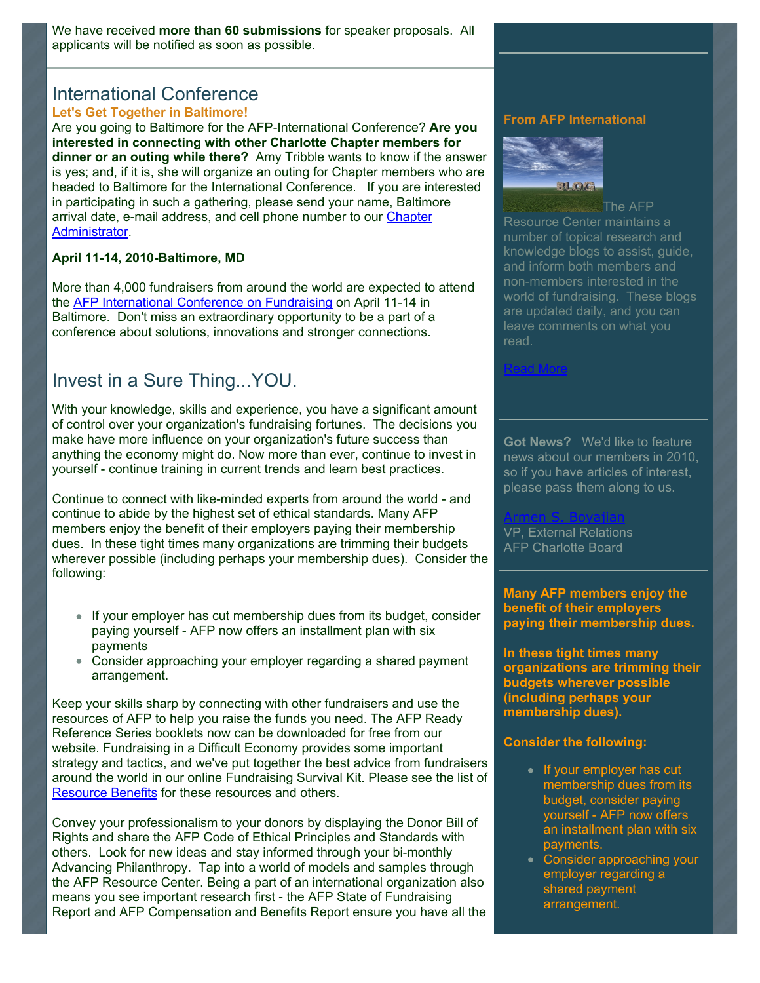We have received **more than 60 submissions** for speaker proposals. All applicants will be notified as soon as possible.

#### International Conference **Let's Get Together in Baltimore!**

Are you going to Baltimore for the AFP-International Conference? **Are you interested in connecting with other Charlotte Chapter members for dinner or an outing while there?** Amy Tribble wants to know if the answer is yes; and, if it is, she will organize an outing for Chapter members who are headed to Baltimore for the International Conference. If you are interested in participating in such a gathering, please send your name, Baltimore [arrival date, e-mail address, and cell phone number to our Chapter](mailto:info@afp-charlotte.org) Administrator.

#### **April 11-14, 2010-Baltimore, MD**

More than 4,000 fundraisers from around the world are expected to attend the [AFP International Conference on Fundraising](https://conference.afpnet.org/) on April 11-14 in Baltimore. Don't miss an extraordinary opportunity to be a part of a conference about solutions, innovations and stronger connections.

# Invest in a Sure Thing...YOU.

With your knowledge, skills and experience, you have a significant amount of control over your organization's fundraising fortunes. The decisions you make have more influence on your organization's future success than anything the economy might do. Now more than ever, continue to invest in yourself - continue training in current trends and learn best practices.

Continue to connect with like-minded experts from around the world - and continue to abide by the highest set of ethical standards. Many AFP members enjoy the benefit of their employers paying their membership dues. In these tight times many organizations are trimming their budgets wherever possible (including perhaps your membership dues). Consider the following:

- If your employer has cut membership dues from its budget, consider paying yourself - AFP now offers an installment plan with six payments
- Consider approaching your employer regarding a shared payment arrangement.

Keep your skills sharp by connecting with other fundraisers and use the resources of AFP to help you raise the funds you need. The AFP Ready Reference Series booklets now can be downloaded for free from our website. Fundraising in a Difficult Economy provides some important strategy and tactics, and we've put together the best advice from fundraisers around the world in our online Fundraising Survival Kit. Please see the list of [Resource Benefits](http://www.afp-charlotte.org/customers/102012921065393/filemanager/AFP_Benefits_2010.pdf) for these resources and others.

Convey your professionalism to your donors by displaying the Donor Bill of Rights and share the AFP Code of Ethical Principles and Standards with others. Look for new ideas and stay informed through your bi-monthly Advancing Philanthropy. Tap into a world of models and samples through the AFP Resource Center. Being a part of an international organization also means you see important research first - the AFP State of Fundraising Report and AFP Compensation and Benefits Report ensure you have all the

#### **From AFP International**



**The AFP** Resource Center maintains a number of topical research and knowledge blogs to assist, guide, and inform both members and non-members interested in the world of fundraising. These blogs are updated daily, and you can leave comments on what you read.

#### [Read More](http://www.afpnet.org/ResourceCenter/content.cfm?ItemNumber=3092&navItemNumber=548)

**Got News?** We'd like to feature news about our members in 2010, so if you have articles of interest, please pass them along to us.

[Armen S. Boyajian](mailto:asboyajian@charlottediocese.org) VP, External Relations AFP Charlotte Board

**Many AFP members enjoy the benefit of their employers paying their membership dues.**

**In these tight times many organizations are trimming their budgets wherever possible (including perhaps your membership dues).** 

#### **Consider the following:**

- If your employer has cut membership dues from its budget, consider paying yourself - AFP now offers an installment plan with six payments.
- Consider approaching your employer regarding a shared payment arrangement.